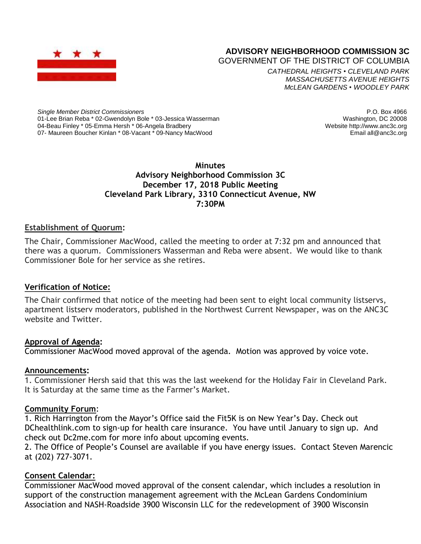

# **ADVISORY NEIGHBORHOOD COMMISSION 3C**

GOVERNMENT OF THE DISTRICT OF COLUMBIA

*CATHEDRAL HEIGHTS* • *CLEVELAND PARK MASSACHUSETTS AVENUE HEIGHTS McLEAN GARDENS* • *WOODLEY PARK*

*Single Member District Commissioners* 01-Lee Brian Reba \* 02-Gwendolyn Bole \* 03-Jessica Wasserman 04-Beau Finley \* 05-Emma Hersh \* 06-Angela Bradbery 07- Maureen Boucher Kinlan \* 08-Vacant \* 09-Nancy MacWood

P.O. Box 4966 Washington, DC 20008 Website http://www.anc3c.org Email all@anc3c.org

#### **Minutes Advisory Neighborhood Commission 3C December 17, 2018 Public Meeting Cleveland Park Library, 3310 Connecticut Avenue, NW 7:30PM**

#### **Establishment of Quorum:**

The Chair, Commissioner MacWood, called the meeting to order at 7:32 pm and announced that there was a quorum. Commissioners Wasserman and Reba were absent. We would like to thank Commissioner Bole for her service as she retires.

#### **Verification of Notice:**

The Chair confirmed that notice of the meeting had been sent to eight local community listservs, apartment listserv moderators, published in the Northwest Current Newspaper, was on the ANC3C website and Twitter.

#### **Approval of Agenda:**

Commissioner MacWood moved approval of the agenda. Motion was approved by voice vote.

#### **Announcements:**

1. Commissioner Hersh said that this was the last weekend for the Holiday Fair in Cleveland Park. It is Saturday at the same time as the Farmer's Market.

#### **Community Forum**:

1. Rich Harrington from the Mayor's Office said the Fit5K is on New Year's Day. Check out DChealthlink.com to sign-up for health care insurance. You have until January to sign up. And check out Dc2me.com for more info about upcoming events.

2. The Office of People's Counsel are available if you have energy issues. Contact Steven Marencic at (202) 727-3071.

#### **Consent Calendar:**

Commissioner MacWood moved approval of the consent calendar, which includes a resolution in support of the construction management agreement with the McLean Gardens Condominium Association and NASH-Roadside 3900 Wisconsin LLC for the redevelopment of 3900 Wisconsin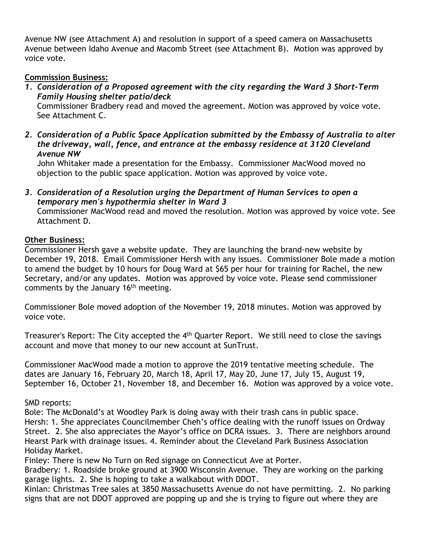Avenue NW (see Attachment A) and resolution in support of a speed camera on Massachusetts Avenue between Idaho Avenue and Macomb Street (see Attachment B). Motion was approved by voice vote.

### **Commission Business:**

#### *1. Consideration of a Proposed agreement with the city regarding the Ward 3 Short-Term Family Housing shelter patio/deck*

Commissioner Bradbery read and moved the agreement. Motion was approved by voice vote. See Attachment C.

*2. Consideration of a Public Space Application submitted by the Embassy of Australia to alter the driveway, wall, fence, and entrance at the embassy residence at 3120 Cleveland Avenue NW*

John Whitaker made a presentation for the Embassy. Commissioner MacWood moved no objection to the public space application. Motion was approved by voice vote.

*3. Consideration of a Resolution urging the Department of Human Services to open a temporary men's hypothermia shelter in Ward 3*

Commissioner MacWood read and moved the resolution. Motion was approved by voice vote. See Attachment D.

### **Other Business:**

Commissioner Hersh gave a website update. They are launching the brand-new website by December 19, 2018. Email Commissioner Hersh with any issues. Commissioner Bole made a motion to amend the budget by 10 hours for Doug Ward at \$65 per hour for training for Rachel, the new Secretary, and/or any updates. Motion was approved by voice vote. Please send commissioner comments by the January 16th meeting.

Commissioner Bole moved adoption of the November 19, 2018 minutes. Motion was approved by voice vote.

Treasurer's Report: The City accepted the 4<sup>th</sup> Quarter Report. We still need to close the savings account and move that money to our new account at SunTrust.

Commissioner MacWood made a motion to approve the 2019 tentative meeting schedule. The dates are January 16, February 20, March 18, April 17, May 20, June 17, July 15, August 19, September 16, October 21, November 18, and December 16. Motion was approved by a voice vote.

### SMD reports:

Bole: The McDonald's at Woodley Park is doing away with their trash cans in public space. Hersh: 1. She appreciates Councilmember Cheh's office dealing with the runoff issues on Ordway Street. 2. She also appreciates the Mayor's office on DCRA issues. 3. There are neighbors around Hearst Park with drainage issues. 4. Reminder about the Cleveland Park Business Association Holiday Market.

Finley: There is new No Turn on Red signage on Connecticut Ave at Porter.

Bradbery: 1. Roadside broke ground at 3900 Wisconsin Avenue. They are working on the parking garage lights. 2. She is hoping to take a walkabout with DDOT.

Kinlan: Christmas Tree sales at 3850 Massachusetts Avenue do not have permitting. 2. No parking signs that are not DDOT approved are popping up and she is trying to figure out where they are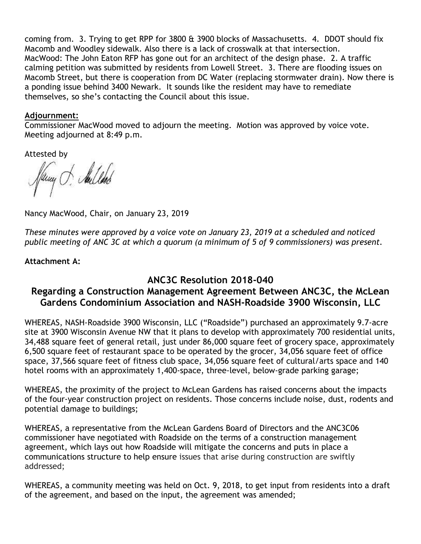coming from. 3. Trying to get RPP for 3800 & 3900 blocks of Massachusetts. 4. DDOT should fix Macomb and Woodley sidewalk. Also there is a lack of crosswalk at that intersection. MacWood: The John Eaton RFP has gone out for an architect of the design phase. 2. A traffic calming petition was submitted by residents from Lowell Street. 3. There are flooding issues on Macomb Street, but there is cooperation from DC Water (replacing stormwater drain). Now there is a ponding issue behind 3400 Newark. It sounds like the resident may have to remediate themselves, so she's contacting the Council about this issue.

#### **Adjournment:**

Commissioner MacWood moved to adjourn the meeting. Motion was approved by voice vote. Meeting adjourned at 8:49 p.m.

Attested by

Jamy . Aulled

Nancy MacWood, Chair, on January 23, 2019

*These minutes were approved by a voice vote on January 23, 2019 at a scheduled and noticed public meeting of ANC 3C at which a quorum (a minimum of 5 of 9 commissioners) was present.*

**Attachment A:**

# **ANC3C Resolution 2018-040**

# **Regarding a Construction Management Agreement Between ANC3C, the McLean Gardens Condominium Association and NASH-Roadside 3900 Wisconsin, LLC**

WHEREAS, NASH-Roadside 3900 Wisconsin, LLC ("Roadside") purchased an approximately 9.7-acre site at 3900 Wisconsin Avenue NW that it plans to develop with approximately 700 residential units, 34,488 square feet of general retail, just under 86,000 square feet of grocery space, approximately 6,500 square feet of restaurant space to be operated by the grocer, 34,056 square feet of office space, 37,566 square feet of fitness club space, 34,056 square feet of cultural/arts space and 140 hotel rooms with an approximately 1,400-space, three-level, below-grade parking garage;

WHEREAS, the proximity of the project to McLean Gardens has raised concerns about the impacts of the four-year construction project on residents. Those concerns include noise, dust, rodents and potential damage to buildings;

WHEREAS, a representative from the McLean Gardens Board of Directors and the ANC3C06 commissioner have negotiated with Roadside on the terms of a construction management agreement, which lays out how Roadside will mitigate the concerns and puts in place a communications structure to help ensure issues that arise during construction are swiftly addressed;

WHEREAS, a community meeting was held on Oct. 9, 2018, to get input from residents into a draft of the agreement, and based on the input, the agreement was amended;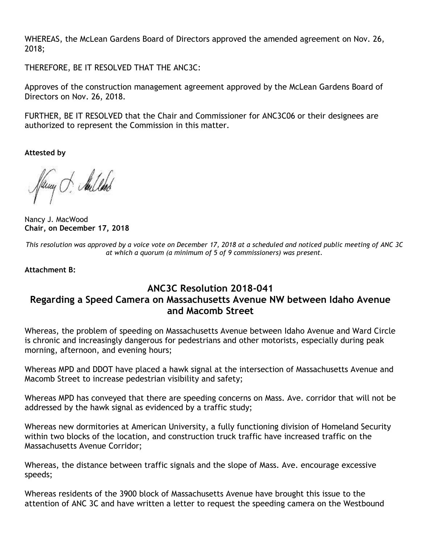WHEREAS, the McLean Gardens Board of Directors approved the amended agreement on Nov. 26, 2018;

THEREFORE, BE IT RESOLVED THAT THE ANC3C:

Approves of the construction management agreement approved by the McLean Gardens Board of Directors on Nov. 26, 2018.

FURTHER, BE IT RESOLVED that the Chair and Commissioner for ANC3C06 or their designees are authorized to represent the Commission in this matter.

**Attested by**

aug . Aules

Nancy J. MacWood **Chair, on December 17, 2018**

This resolution was approved by a voice vote on December 17, 2018 at a scheduled and noticed public meeting of ANC 3C *at which a quorum (a minimum of 5 of 9 commissioners) was present.*

**Attachment B:**

### **ANC3C Resolution 2018-041 Regarding a Speed Camera on Massachusetts Avenue NW between Idaho Avenue and Macomb Street**

Whereas, the problem of speeding on Massachusetts Avenue between Idaho Avenue and Ward Circle is chronic and increasingly dangerous for pedestrians and other motorists, especially during peak morning, afternoon, and evening hours;

Whereas MPD and DDOT have placed a hawk signal at the intersection of Massachusetts Avenue and Macomb Street to increase pedestrian visibility and safety;

Whereas MPD has conveyed that there are speeding concerns on Mass. Ave. corridor that will not be addressed by the hawk signal as evidenced by a traffic study;

Whereas new dormitories at American University, a fully functioning division of Homeland Security within two blocks of the location, and construction truck traffic have increased traffic on the Massachusetts Avenue Corridor;

Whereas, the distance between traffic signals and the slope of Mass. Ave. encourage excessive speeds;

Whereas residents of the 3900 block of Massachusetts Avenue have brought this issue to the attention of ANC 3C and have written a letter to request the speeding camera on the Westbound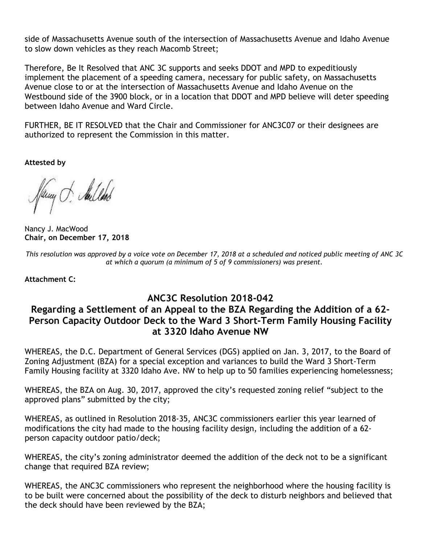side of Massachusetts Avenue south of the intersection of Massachusetts Avenue and Idaho Avenue to slow down vehicles as they reach Macomb Street;

Therefore, Be It Resolved that ANC 3C supports and seeks DDOT and MPD to expeditiously implement the placement of a speeding camera, necessary for public safety, on Massachusetts Avenue close to or at the intersection of Massachusetts Avenue and Idaho Avenue on the Westbound side of the 3900 block, or in a location that DDOT and MPD believe will deter speeding between Idaho Avenue and Ward Circle.

FURTHER, BE IT RESOLVED that the Chair and Commissioner for ANC3C07 or their designees are authorized to represent the Commission in this matter.

**Attested by**

Pany J. Aullad

Nancy J. MacWood **Chair, on December 17, 2018**

This resolution was approved by a voice vote on December 17, 2018 at a scheduled and noticed public meeting of ANC 3C *at which a quorum (a minimum of 5 of 9 commissioners) was present.*

**Attachment C:**

### **ANC3C Resolution 2018-042**

## **Regarding a Settlement of an Appeal to the BZA Regarding the Addition of a 62- Person Capacity Outdoor Deck to the Ward 3 Short-Term Family Housing Facility at 3320 Idaho Avenue NW**

WHEREAS, the D.C. Department of General Services (DGS) applied on Jan. 3, 2017, to the Board of Zoning Adjustment (BZA) for a special exception and variances to build the Ward 3 Short-Term Family Housing facility at 3320 Idaho Ave. NW to help up to 50 families experiencing homelessness;

WHEREAS, the BZA on Aug. 30, 2017, approved the city's requested zoning relief "subject to the approved plans" submitted by the city;

WHEREAS, as outlined in Resolution 2018-35, ANC3C commissioners earlier this year learned of modifications the city had made to the housing facility design, including the addition of a 62 person capacity outdoor patio/deck;

WHEREAS, the city's zoning administrator deemed the addition of the deck not to be a significant change that required BZA review;

WHEREAS, the ANC3C commissioners who represent the neighborhood where the housing facility is to be built were concerned about the possibility of the deck to disturb neighbors and believed that the deck should have been reviewed by the BZA;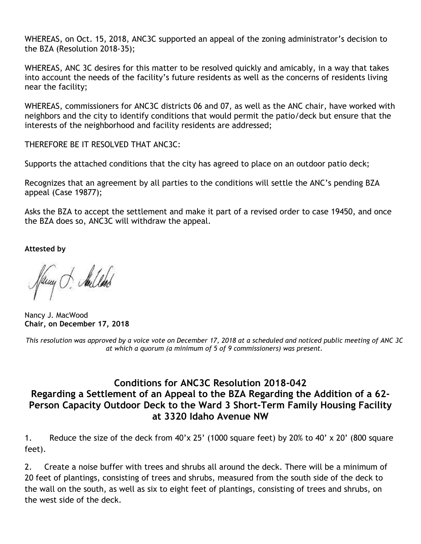WHEREAS, on Oct. 15, 2018, ANC3C supported an appeal of the zoning administrator's decision to the BZA (Resolution 2018-35);

WHEREAS, ANC 3C desires for this matter to be resolved quickly and amicably, in a way that takes into account the needs of the facility's future residents as well as the concerns of residents living near the facility;

WHEREAS, commissioners for ANC3C districts 06 and 07, as well as the ANC chair, have worked with neighbors and the city to identify conditions that would permit the patio/deck but ensure that the interests of the neighborhood and facility residents are addressed;

THEREFORE BE IT RESOLVED THAT ANC3C:

Supports the attached conditions that the city has agreed to place on an outdoor patio deck;

Recognizes that an agreement by all parties to the conditions will settle the ANC's pending BZA appeal (Case 19877);

Asks the BZA to accept the settlement and make it part of a revised order to case 19450, and once the BZA does so, ANC3C will withdraw the appeal.

**Attested by**

Vany J. Aulland

Nancy J. MacWood **Chair, on December 17, 2018**

This resolution was approved by a voice vote on December 17, 2018 at a scheduled and noticed public meeting of ANC 3C *at which a quorum (a minimum of 5 of 9 commissioners) was present.*

### **Conditions for ANC3C Resolution 2018-042 Regarding a Settlement of an Appeal to the BZA Regarding the Addition of a 62- Person Capacity Outdoor Deck to the Ward 3 Short-Term Family Housing Facility at 3320 Idaho Avenue NW**

1. Reduce the size of the deck from 40'x 25' (1000 square feet) by 20% to 40' x 20' (800 square feet).

2. Create a noise buffer with trees and shrubs all around the deck. There will be a minimum of 20 feet of plantings, consisting of trees and shrubs, measured from the south side of the deck to the wall on the south, as well as six to eight feet of plantings, consisting of trees and shrubs, on the west side of the deck.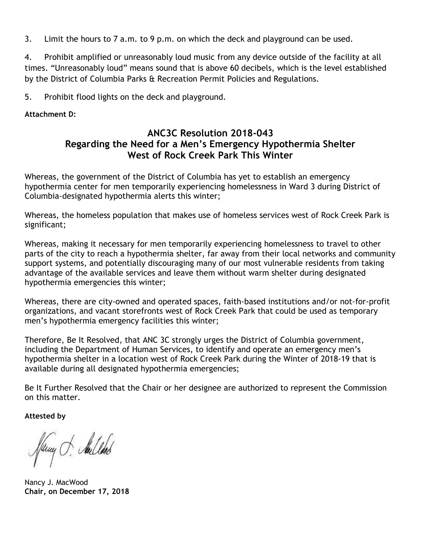3. Limit the hours to 7 a.m. to 9 p.m. on which the deck and playground can be used.

4. Prohibit amplified or unreasonably loud music from any device outside of the facility at all times. "Unreasonably loud" means sound that is above 60 decibels, which is the level established by the District of Columbia Parks & Recreation Permit Policies and Regulations.

5. Prohibit flood lights on the deck and playground.

#### **Attachment D:**

## **ANC3C Resolution 2018-043 Regarding the Need for a Men's Emergency Hypothermia Shelter West of Rock Creek Park This Winter**

Whereas, the government of the District of Columbia has yet to establish an emergency hypothermia center for men temporarily experiencing homelessness in Ward 3 during District of Columbia-designated hypothermia alerts this winter;

Whereas, the homeless population that makes use of homeless services west of Rock Creek Park is significant;

Whereas, making it necessary for men temporarily experiencing homelessness to travel to other parts of the city to reach a hypothermia shelter, far away from their local networks and community support systems, and potentially discouraging many of our most vulnerable residents from taking advantage of the available services and leave them without warm shelter during designated hypothermia emergencies this winter;

Whereas, there are city-owned and operated spaces, faith-based institutions and/or not-for-profit organizations, and vacant storefronts west of Rock Creek Park that could be used as temporary men's hypothermia emergency facilities this winter;

Therefore, Be It Resolved, that ANC 3C strongly urges the District of Columbia government, including the Department of Human Services, to identify and operate an emergency men's hypothermia shelter in a location west of Rock Creek Park during the Winter of 2018-19 that is available during all designated hypothermia emergencies;

Be It Further Resolved that the Chair or her designee are authorized to represent the Commission on this matter.

**Attested by**

Thing of Auledob

Nancy J. MacWood **Chair, on December 17, 2018**